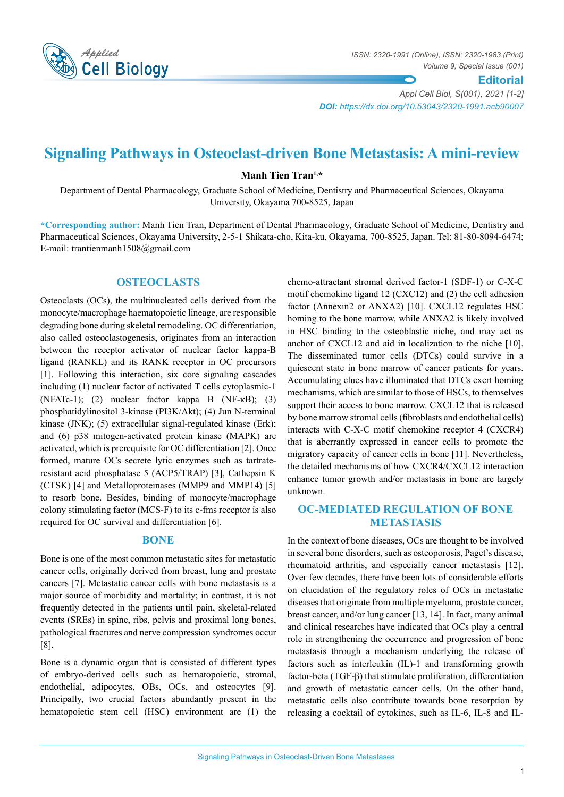

*ISSN: 2320-1991 (Online); ISSN: 2320-1983 (Print) Volume 9; Special Issue (001)* 

**Editorial**

*Appl Cell Biol, S(001), 2021 [1-2] DOI: https://dx.doi.org/10.53043/2320-1991.acb90007*

# **Signaling Pathways in Osteoclast-driven Bone Metastasis: A mini-review**

**Manh Tien Tran1,\***

Department of Dental Pharmacology, Graduate School of Medicine, Dentistry and Pharmaceutical Sciences, Okayama University, Okayama 700-8525, Japan

**\*Corresponding author:** Manh Tien Tran, Department of Dental Pharmacology, Graduate School of Medicine, Dentistry and Pharmaceutical Sciences, Okayama University, 2-5-1 Shikata-cho, Kita-ku, Okayama, 700-8525, Japan. Tel: 81-80-8094-6474; E-mail: trantienmanh1508@gmail.com

### **Osteoclasts**

Osteoclasts (OCs), the multinucleated cells derived from the monocyte/macrophage haematopoietic lineage, are responsible degrading bone during skeletal remodeling. OC differentiation, also called osteoclastogenesis, originates from an interaction between the receptor activator of nuclear factor kappa-B ligand (RANKL) and its RANK receptor in OC precursors [1]. Following this interaction, six core signaling cascades including (1) nuclear factor of activated T cells cytoplasmic-1 (NFATc-1); (2) nuclear factor kappa B (NF-κB); (3) phosphatidylinositol 3-kinase (PI3K/Akt); (4) Jun N-terminal kinase (JNK); (5) extracellular signal-regulated kinase (Erk); and (6) p38 mitogen-activated protein kinase (MAPK) are activated, which is prerequisite for OC differentiation [2]. Once formed, mature OCs secrete lytic enzymes such as tartrateresistant acid phosphatase 5 (ACP5/TRAP) [3], Cathepsin K (CTSK) [4] and Metalloproteinases (MMP9 and MMP14) [5] to resorb bone. Besides, binding of monocyte/macrophage colony stimulating factor (MCS-F) to its c-fms receptor is also required for OC survival and differentiation [6].

#### **Bone**

Bone is one of the most common metastatic sites for metastatic cancer cells, originally derived from breast, lung and prostate cancers [7]. Metastatic cancer cells with bone metastasis is a major source of morbidity and mortality; in contrast, it is not frequently detected in the patients until pain, skeletal-related events (SREs) in spine, ribs, pelvis and proximal long bones, pathological fractures and nerve compression syndromes occur [8].

Bone is a dynamic organ that is consisted of different types of embryo-derived cells such as hematopoietic, stromal, endothelial, adipocytes, OBs, OCs, and osteocytes [9]. Principally, two crucial factors abundantly present in the hematopoietic stem cell (HSC) environment are (1) the

chemo-attractant stromal derived factor-1 (SDF-1) or C-X-C motif chemokine ligand 12 (CXC12) and (2) the cell adhesion factor (Annexin2 or ANXA2) [10]. CXCL12 regulates HSC homing to the bone marrow, while ANXA2 is likely involved in HSC binding to the osteoblastic niche, and may act as anchor of CXCL12 and aid in localization to the niche [10]. The disseminated tumor cells (DTCs) could survive in a quiescent state in bone marrow of cancer patients for years. Accumulating clues have illuminated that DTCs exert homing mechanisms, which are similar to those of HSCs, to themselves support their access to bone marrow. CXCL12 that is released by bone marrow stromal cells (fibroblasts and endothelial cells) interacts with C-X-C motif chemokine receptor 4 (CXCR4) that is aberrantly expressed in cancer cells to promote the migratory capacity of cancer cells in bone [11]. Nevertheless, the detailed mechanisms of how CXCR4/CXCL12 interaction enhance tumor growth and/or metastasis in bone are largely unknown.

## **OC-mediated regulation of bone metastasis**

In the context of bone diseases, OCs are thought to be involved in several bone disorders, such as osteoporosis, Paget's disease, rheumatoid arthritis, and especially cancer metastasis [12]. Over few decades, there have been lots of considerable efforts on elucidation of the regulatory roles of OCs in metastatic diseases that originate from multiple myeloma, prostate cancer, breast cancer, and/or lung cancer [13, 14]. In fact, many animal and clinical researches have indicated that OCs play a central role in strengthening the occurrence and progression of bone metastasis through a mechanism underlying the release of factors such as interleukin (IL)-1 and transforming growth factor-beta (TGF-β) that stimulate proliferation, differentiation and growth of metastatic cancer cells. On the other hand, metastatic cells also contribute towards bone resorption by releasing a cocktail of cytokines, such as IL-6, IL-8 and IL-